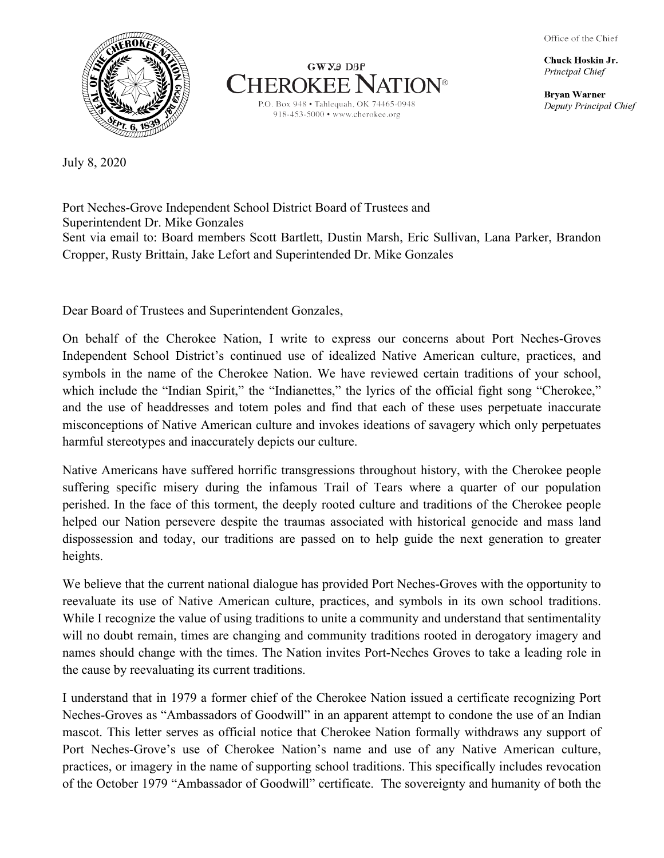Office of the Chief

Chuck Hoskin Jr. Principal Chief

**Bryan Warner** Deputy Principal Chief





July 8, 2020

Port Neches-Grove Independent School District Board of Trustees and Superintendent Dr. Mike Gonzales Sent via email to: Board members Scott Bartlett, Dustin Marsh, Eric Sullivan, Lana Parker, Brandon Cropper, Rusty Brittain, Jake Lefort and Superintended Dr. Mike Gonzales

Dear Board of Trustees and Superintendent Gonzales,

On behalf of the Cherokee Nation, I write to express our concerns about Port Neches-Groves Independent School District's continued use of idealized Native American culture, practices, and symbols in the name of the Cherokee Nation. We have reviewed certain traditions of your school, which include the "Indian Spirit," the "Indianettes," the lyrics of the official fight song "Cherokee," and the use of headdresses and totem poles and find that each of these uses perpetuate inaccurate misconceptions of Native American culture and invokes ideations of savagery which only perpetuates harmful stereotypes and inaccurately depicts our culture.

Native Americans have suffered horrific transgressions throughout history, with the Cherokee people suffering specific misery during the infamous Trail of Tears where a quarter of our population perished. In the face of this torment, the deeply rooted culture and traditions of the Cherokee people helped our Nation persevere despite the traumas associated with historical genocide and mass land dispossession and today, our traditions are passed on to help guide the next generation to greater heights.

We believe that the current national dialogue has provided Port Neches-Groves with the opportunity to reevaluate its use of Native American culture, practices, and symbols in its own school traditions. While I recognize the value of using traditions to unite a community and understand that sentimentality will no doubt remain, times are changing and community traditions rooted in derogatory imagery and names should change with the times. The Nation invites Port-Neches Groves to take a leading role in the cause by reevaluating its current traditions.

I understand that in 1979 a former chief of the Cherokee Nation issued a certificate recognizing Port Neches-Groves as "Ambassadors of Goodwill" in an apparent attempt to condone the use of an Indian mascot. This letter serves as official notice that Cherokee Nation formally withdraws any support of Port Neches-Grove's use of Cherokee Nation's name and use of any Native American culture, practices, or imagery in the name of supporting school traditions. This specifically includes revocation of the October 1979 "Ambassador of Goodwill" certificate. The sovereignty and humanity of both the